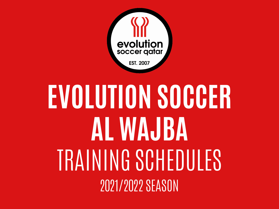

## **EVOLUTION SOCCER AL WAJBA** TRAINING SCHEDULES 2021/2022 SEASON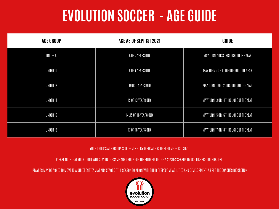## **EVOLUTION SOCCER - AGE GUIDE**

| <b>AGE GROUP</b>    | AGE AS OF SEPT 1ST 2021 | <b>GUIDE</b>                          |
|---------------------|-------------------------|---------------------------------------|
| UNDER 8             | 6 OR 7 YEARS OLD        | MAY TURN 7 OR 8 THROUGHOUT THE YEAR   |
| UNDER 10            | 8 OR 9 YEARS OLD        | MAY TURN 9 OR 10 THROUGHOUT THE YEAR  |
| UNDER <sub>12</sub> | 10 OR 11 YEARS OLD      | MAY TURN 11 OR 12 THROUGHOUT THE YEAR |
| UNDER 14            | 12 OR 13 YEARS OLD      | MAY TURN 13 OR 14 THROUGHOUT THE YEAR |
| UNDER 16            | 14 ,15 OR 16 YEARS OLD  | MAY TURN 15 OR 16 THROUGHOUT THE YEAR |
| UNDER 18            | 17 OR 18 YEARS OLD      | MAY TURN 17 OR 18 THROUGHOUT THE YEAR |

YOUR CHILD'S AGE GROUP IS DETERMINED BY THEIR AGE AS OF SEPTEMBER 1ST, 2021.

PLEASE NOTE THAT YOUR CHILD WILL STAY IN THE SAME AGE GROUP FOR THE ENTIRETY OF THE 2021/2022 SEASON (MUCH LIKE SCHOOL GRADES).

PLAYERS MAY BE ASKED TO MOVE TO A DIFFERENT TEAM AT ANY STAGE OF THE SEASON TO ALIGN WITH THEIR RESPECTIVE ABILITIES AND DEVELOPMENT, AS PER THE COACHES DISCRETION.

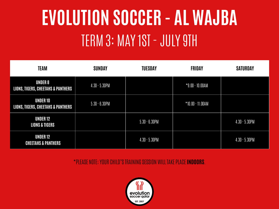## **EVOLUTION SOCCER - AL WAJBA** TERM 3: MAY 1ST - JULY 9TH

| <b>TEAM</b>                                                      | <b>SUNDAY</b>    | <b>TUESDAY</b>   | <b>FRIDAY</b>      | <b>SATURDAY</b>  |
|------------------------------------------------------------------|------------------|------------------|--------------------|------------------|
| <b>UNDER 8</b><br><b>LIONS, TIGERS, CHEETAHS &amp; PANTHERS</b>  | $4.30 - 5.30$ PM |                  | $*9.00 - 10.00AM$  |                  |
| <b>UNDER 10</b><br><b>LIONS, TIGERS, CHEETAHS &amp; PANTHERS</b> | $5.30 - 6.30$ PM |                  | $*10.00 - 11.00AM$ |                  |
| <b>UNDER 12</b><br><b>LIONS &amp; TIGERS</b>                     |                  | $5.30 - 6.30$ PM |                    | $4.30 - 5.30$ PM |
| <b>UNDER 12</b><br><b>CHEETAHS &amp; PANTHERS</b>                |                  | $4.30 - 5.30$ PM |                    | $4.30 - 5.30$ PM |

\*PLEASE NOTE; YOUR CHILD'S TRAINING SESSION WILL TAKE PLACE **INDOORS**.